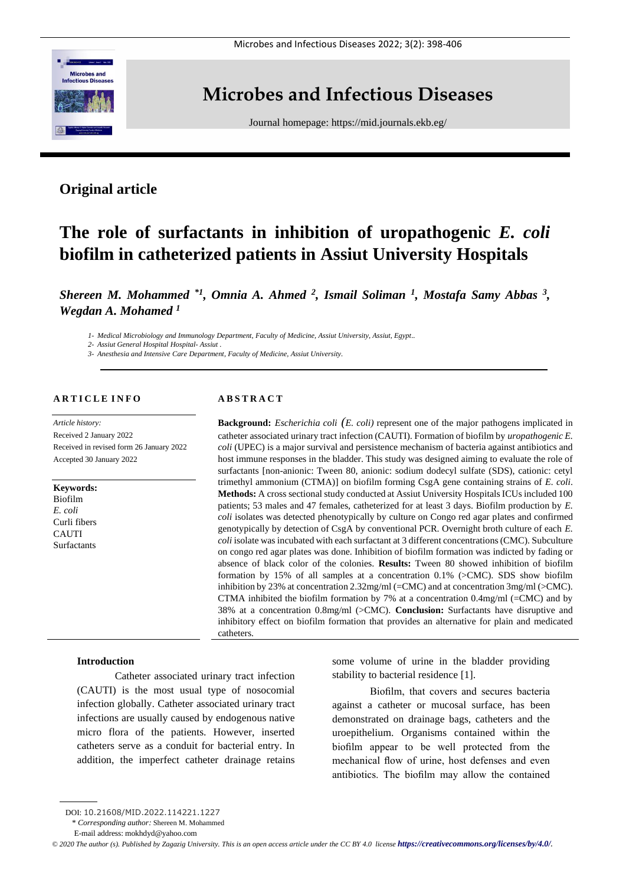

# **Microbes and Infectious Diseases**

Journal homepage:<https://mid.journals.ekb.eg/>

# **Original article**

# **The role of surfactants in inhibition of uropathogenic** *E. coli* **biofilm in catheterized patients in Assiut University Hospitals**

*Shereen M. Mohammed \*1 , Omnia A. Ahmed <sup>2</sup> , Ismail Soliman <sup>1</sup> , Mostafa Samy Abbas <sup>3</sup> , Wegdan A. Mohamed <sup>1</sup>*

*1- Medical Microbiology and Immunology Department, Faculty of Medicine, Assiut University, Assiut, Egypt..*

*2- Assiut General Hospital Hospital- Assiut .*

*3- Anesthesia and Intensive Care Department, Faculty of Medicine, Assiut University.*

# **A R T I C L E I N F O**

*Article history:*  Received 2 January 2022 Received in revised form 26 January 2022 Accepted 30 January 2022

**Keywords:** Biofilm *E. coli* Curli fibers CAUTI Surfactants

## **A B S T R A C T**

**Background:** *Escherichia coli (E. coli)* represent one of the major pathogens implicated in catheter associated urinary tract infection (CAUTI). Formation of biofilm by *uropathogenic E. coli* (UPEC) is a major survival and persistence mechanism of bacteria against antibiotics and host immune responses in the bladder. This study was designed aiming to evaluate the role of surfactants [non-anionic: Tween 80, anionic: sodium dodecyl sulfate (SDS), cationic: cetyl trimethyl ammonium (CTMA)] on biofilm forming CsgA gene containing strains of *E. coli*. **Methods:** A cross sectional study conducted at Assiut University Hospitals ICUs included 100 patients; 53 males and 47 females, catheterized for at least 3 days. Biofilm production by *E. coli* isolates was detected phenotypically by culture on Congo red agar plates and confirmed genotypically by detection of CsgA by conventional PCR. Overnight broth culture of each *E. coli* isolate was incubated with each surfactant at 3 different concentrations (CMC). Subculture on congo red agar plates was done. Inhibition of biofilm formation was indicted by fading or absence of black color of the colonies. **Results:** Tween 80 showed inhibition of biofilm formation by 15% of all samples at a concentration 0.1% (>CMC). SDS show biofilm inhibition by 23% at concentration 2.32mg/ml (=CMC) and at concentration 3mg/ml (>CMC). CTMA inhibited the biofilm formation by 7% at a concentration  $0.4 \text{mg/ml}$  (=CMC) and by 38% at a concentration 0.8mg/ml (>CMC). **Conclusion:** Surfactants have disruptive and inhibitory effect on biofilm formation that provides an alternative for plain and medicated catheters.

#### **Introduction**

Catheter associated urinary tract infection (CAUTI) is the most usual type of nosocomial infection globally. Catheter associated urinary tract infections are usually caused by endogenous native micro flora of the patients. However, inserted catheters serve as a conduit for bacterial entry. In addition, the imperfect catheter drainage retains

some volume of urine in the bladder providing stability to bacterial residence [1].

Biofilm, that covers and secures bacteria against a catheter or mucosal surface, has been demonstrated on drainage bags, catheters and the uroepithelium. Organisms contained within the biofilm appear to be well protected from the mechanical flow of urine, host defenses and even antibiotics. The biofilm may allow the contained

DOI: 10.21608/MID.2022.114221.1227

<sup>\*</sup> *Corresponding author:* Shereen M. Mohammed

E-mail address: mokhdyd@yahoo.com

 $\degree$  2020 The author (s). Published by Zagazig University. This is an open access article under the CC BY 4.0 license **<https://creativecommons.org/licenses/by/4.0/>***.*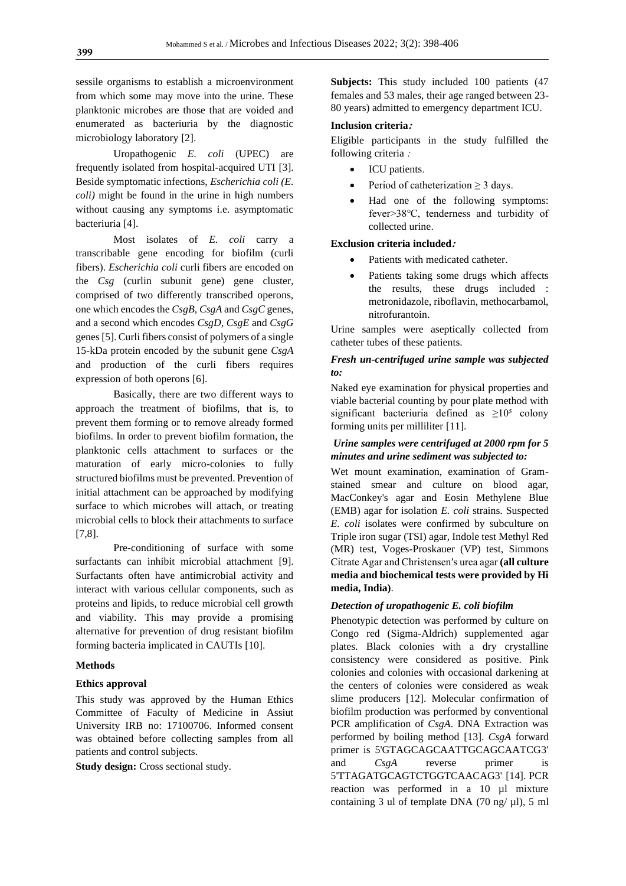sessile organisms to establish a microenvironment from which some may move into the urine. These planktonic microbes are those that are voided and enumerated as bacteriuria by the diagnostic microbiology laboratory [2].

Uropathogenic *E. coli* (UPEC) are frequently isolated from hospital-acquired UTI [3]. Beside symptomatic infections, *Escherichia coli (E. coli)* might be found in the urine in high numbers without causing any symptoms i.e. asymptomatic bacteriuria [4].

Most isolates of *E. coli* carry a transcribable gene encoding for biofilm (curli fibers). *Escherichia coli* curli fibers are encoded on the *Csg* (curlin subunit gene) gene cluster, comprised of two differently transcribed operons, one which encodes the *CsgB, CsgA* and *CsgC* genes, and a second which encodes *CsgD, CsgE* and *CsgG* genes [5]. Curli fibers consist of polymers of a single 15-kDa protein encoded by the subunit gene *CsgA* and production of the curli fibers requires expression of both operons [6].

Basically, there are two different ways to approach the treatment of biofilms, that is, to prevent them forming or to remove already formed biofilms. In order to prevent biofilm formation, the planktonic cells attachment to surfaces or the maturation of early micro-colonies to fully structured biofilms must be prevented. Prevention of initial attachment can be approached by modifying surface to which microbes will attach, or treating microbial cells to block their attachments to surface [7,8].

Pre-conditioning of surface with some surfactants can inhibit microbial attachment [9]. Surfactants often have antimicrobial activity and interact with various cellular components, such as proteins and lipids, to reduce microbial cell growth and viability. This may provide a promising alternative for prevention of drug resistant biofilm forming bacteria implicated in CAUTIs [10].

#### **Methods**

#### **Ethics approval**

This study was approved by the Human Ethics Committee of Faculty of Medicine in Assiut University IRB no: 17100706. Informed consent was obtained before collecting samples from all patients and control subjects.

**Study design:** Cross sectional study.

**Subjects:** This study included 100 patients (47 females and 53 males, their age ranged between 23- 80 years) admitted to emergency department ICU.

#### **Inclusion criteria:**

Eligible participants in the study fulfilled the following criteria :

- ICU patients.
- Period of catheterization  $\geq 3$  days.
- Had one of the following symptoms: fever>38℃, tenderness and turbidity of collected urine.

#### **Exclusion criteria included:**

- Patients with medicated catheter.
- Patients taking some drugs which affects the results, these drugs included : metronidazole, riboflavin, methocarbamol, nitrofurantoin.

Urine samples were aseptically collected from catheter tubes of these patients.

# *Fresh un-centrifuged urine sample was subjected to:*

Naked eye examination for physical properties and viable bacterial counting by pour plate method with significant bacteriuria defined as  $\geq 10^5$  colony forming units per milliliter [11].

# *Urine samples were centrifuged at 2000 rpm for 5 minutes and urine sediment was subjected to:*

Wet mount examination, examination of Gramstained smear and culture on blood agar, MacConkey's agar and Eosin Methylene Blue (EMB) agar for isolation *E. coli* strains. Suspected *E. coli* isolates were confirmed by subculture on Triple iron sugar (TSI) agar, Indole test Methyl Red (MR) test, Voges-Proskauer (VP) test, Simmons Citrate Agar and Christensen′s urea agar **(all culture media and biochemical tests were provided by Hi media, India)**.

# *Detection of uropathogenic E. coli biofilm*

Phenotypic detection was performed by culture on Congo red (Sigma-Aldrich) supplemented agar plates. Black colonies with a dry crystalline consistency were considered as positive. Pink colonies and colonies with occasional darkening at the centers of colonies were considered as weak slime producers [12]. Molecular confirmation of biofilm production was performed by conventional PCR amplification of *CsgA*. DNA Extraction was performed by boiling method [13]. *CsgA* forward primer is 5'GTAGCAGCAATTGCAGCAATCG3' and *CsgA* reverse primer is 5'TTAGATGCAGTCTGGTCAACAG3' [14]. PCR reaction was performed in a 10 µl mixture containing 3 ul of template DNA (70 ng/ $\mu$ l), 5 ml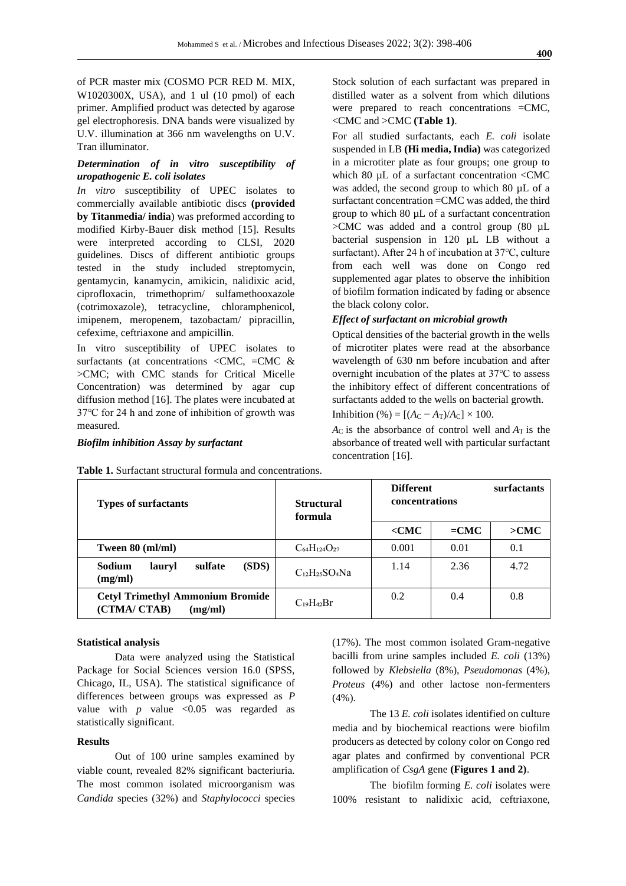of PCR master mix (COSMO PCR RED M. MIX, W1020300X, USA), and 1 ul (10 pmol) of each primer. Amplified product was detected by agarose gel electrophoresis. DNA bands were visualized by U.V. illumination at 366 nm wavelengths on U.V. Tran illuminator.

### *Determination of in vitro susceptibility of uropathogenic E. coli isolates*

*In vitro* susceptibility of UPEC isolates to commercially available antibiotic discs **(provided by Titanmedia/ india**) was preformed according to modified Kirby-Bauer disk method [15]. Results were interpreted according to CLSI, 2020 guidelines. Discs of different antibiotic groups tested in the study included streptomycin, gentamycin, kanamycin, amikicin, nalidixic acid, ciprofloxacin, trimethoprim/ sulfamethooxazole (cotrimoxazole), tetracycline, chloramphenicol, imipenem, meropenem, tazobactam/ pipracillin, cefexime, ceftriaxone and ampicillin.

In vitro susceptibility of UPEC isolates to surfactants (at concentrations <CMC,  $=$ CMC & >CMC; with CMC stands for Critical Micelle Concentration) was determined by agar cup diffusion method [16]. The plates were incubated at 37℃ for 24 h and zone of inhibition of growth was measured.

#### *Biofilm inhibition Assay by surfactant*

Stock solution of each surfactant was prepared in distilled water as a solvent from which dilutions were prepared to reach concentrations =CMC, <CMC and >CMC **(Table 1)**.

For all studied surfactants, each *E. coli* isolate suspended in LB **(Hi media, India)** was categorized in a microtiter plate as four groups; one group to which 80 µL of a surfactant concentration <CMC was added, the second group to which 80 µL of a surfactant concentration =CMC was added, the third group to which 80 µL of a surfactant concentration >CMC was added and a control group (80 µL bacterial suspension in 120 µL LB without a surfactant). After 24 h of incubation at 37℃, culture from each well was done on Congo red supplemented agar plates to observe the inhibition of biofilm formation indicated by fading or absence the black colony color.

#### *Effect of surfactant on microbial growth*

Optical densities of the bacterial growth in the wells of microtiter plates were read at the absorbance wavelength of 630 nm before incubation and after overnight incubation of the plates at 37℃ to assess the inhibitory effect of different concentrations of surfactants added to the wells on bacterial growth.

Inhibition (%) =  $[(A_C - A_T)/A_C] \times 100$ .

 $A_C$  is the absorbance of control well and  $A_T$  is the absorbance of treated well with particular surfactant concentration [16].

| <b>Types of surfactants</b>                                        | <b>Structural</b><br>formula | <b>Different</b><br><b>concentrations</b> |        | surfactants |
|--------------------------------------------------------------------|------------------------------|-------------------------------------------|--------|-------------|
|                                                                    |                              | $<$ CMC                                   | $=CMC$ | >CMC        |
| Tween 80 (ml/ml)                                                   | $C_{64}H_{124}O_{27}$        | 0.001                                     | 0.01   | 0.1         |
| (SDS)<br>Sodium<br>sulfate<br>lauryl<br>(mg/ml)                    | $C_{12}H_{25}SO_4Na$         | 1.14                                      | 2.36   | 4.72        |
| <b>Cetyl Trimethyl Ammonium Bromide</b><br>(CTMA/ CTAB)<br>(mg/ml) | $C_{19}H_{42}Br$             | 0.2                                       | 0.4    | 0.8         |

**Table 1.** Surfactant structural formula and concentrations.

#### **Statistical analysis**

Data were analyzed using the Statistical Package for Social Sciences version 16.0 (SPSS, Chicago, IL, USA). The statistical significance of differences between groups was expressed as *P* value with  $p$  value <0.05 was regarded as statistically significant.

## **Results**

Out of 100 urine samples examined by viable count, revealed 82% significant bacteriuria. The most common isolated microorganism was *Candida* species (32%) and *Staphylococci* species (17%). The most common isolated Gram-negative bacilli from urine samples included *E. coli* (13%) followed by *Klebsiella* (8%), *Pseudomonas* (4%), *Proteus* (4%) and other lactose non-fermenters  $(4\%)$ .

The 13 *E. coli* isolates identified on culture media and by biochemical reactions were biofilm producers as detected by colony color on Congo red agar plates and confirmed by conventional PCR amplification of *CsgA* gene **(Figures 1 and 2)**.

The biofilm forming *E. coli* isolates were 100% resistant to nalidixic acid, ceftriaxone,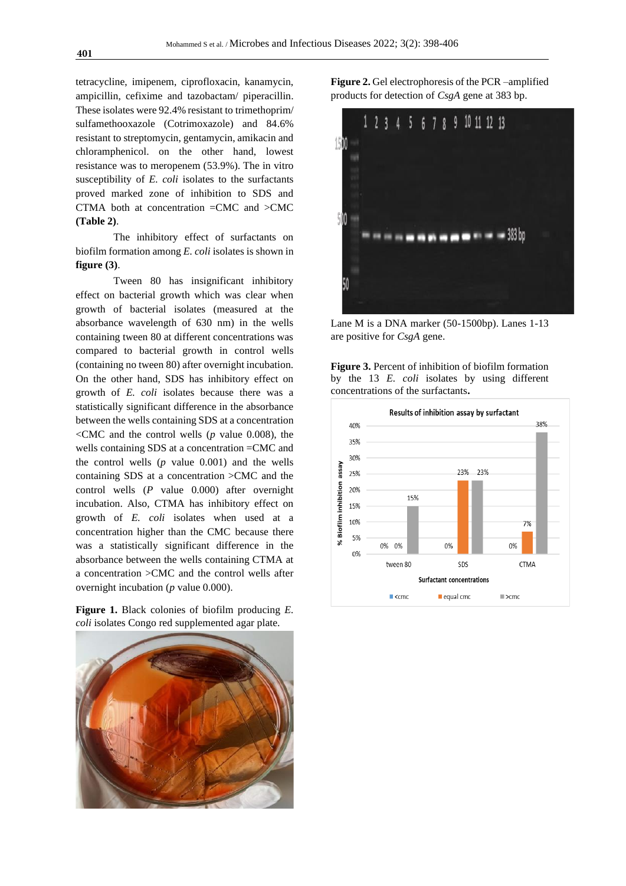tetracycline, imipenem, ciprofloxacin, kanamycin, ampicillin, cefixime and tazobactam/ piperacillin. These isolates were 92.4% resistant to trimethoprim/ sulfamethooxazole (Cotrimoxazole) and 84.6% resistant to streptomycin, gentamycin, amikacin and chloramphenicol. on the other hand, lowest resistance was to meropenem (53.9%). The in vitro susceptibility of *E. coli* isolates to the surfactants proved marked zone of inhibition to SDS and CTMA both at concentration =CMC and >CMC **(Table 2)**.

The inhibitory effect of surfactants on biofilm formation among *E. coli* isolates is shown in **figure (3)**.

Tween 80 has insignificant inhibitory effect on bacterial growth which was clear when growth of bacterial isolates (measured at the absorbance wavelength of 630 nm) in the wells containing tween 80 at different concentrations was compared to bacterial growth in control wells (containing no tween 80) after overnight incubation. On the other hand, SDS has inhibitory effect on growth of *E. coli* isolates because there was a statistically significant difference in the absorbance between the wells containing SDS at a concentration  $\leq$ CMC and the control wells (*p* value 0.008), the wells containing SDS at a concentration =CMC and the control wells (*p* value 0.001) and the wells containing SDS at a concentration >CMC and the control wells (*P* value 0.000) after overnight incubation. Also, CTMA has inhibitory effect on growth of *E. coli* isolates when used at a concentration higher than the CMC because there was a statistically significant difference in the absorbance between the wells containing CTMA at a concentration >CMC and the control wells after overnight incubation (*p* value 0.000).

**Figure 1.** Black colonies of biofilm producing *E. coli* isolates Congo red supplemented agar plate.



**Figure 2.** Gel electrophoresis of the PCR –amplified products for detection of *CsgA* gene at 383 bp.



Lane M is a DNA marker (50-1500bp). Lanes 1-13 are positive for *CsgA* gene.

**Figure 3.** Percent of inhibition of biofilm formation by the 13 *E. coli* isolates by using different concentrations of the surfactants**.**

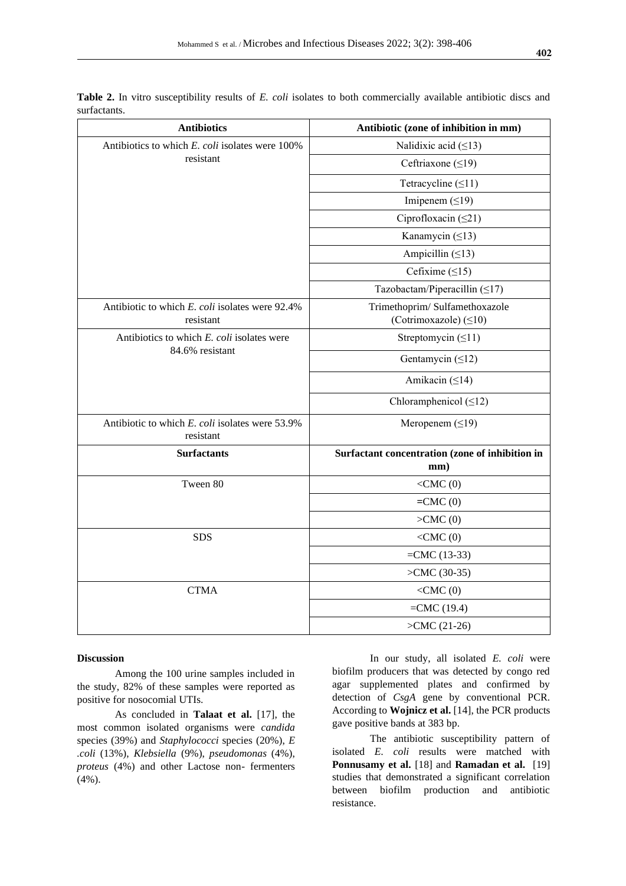| <b>Antibiotics</b>                                            | Antibiotic (zone of inhibition in mm)           |  |  |
|---------------------------------------------------------------|-------------------------------------------------|--|--|
| Antibiotics to which E. coli isolates were 100%               | Nalidixic acid $( \leq 13)$                     |  |  |
| resistant                                                     | Ceftriaxone $( \leq 19)$                        |  |  |
|                                                               | Tetracycline $(\leq 11)$                        |  |  |
|                                                               | Imipenem $(≤19)$                                |  |  |
|                                                               | Ciprofloxacin $(\leq 21)$                       |  |  |
|                                                               | Kanamycin $(≤13)$                               |  |  |
|                                                               | Ampicillin $(≤13)$                              |  |  |
|                                                               | Cefixime $( \leq 15)$                           |  |  |
|                                                               | Tazobactam/Piperacillin $(≤17)$                 |  |  |
| Antibiotic to which E. coli isolates were 92.4%               | Trimethoprim/Sulfamethoxazole                   |  |  |
| resistant                                                     | (Cotrimoxazole) $( \leq 10)$                    |  |  |
| Antibiotics to which E. coli isolates were<br>84.6% resistant | Streptomycin $(≤11)$                            |  |  |
|                                                               | Gentamycin $(≤12)$                              |  |  |
|                                                               | Amikacin $(≤14)$                                |  |  |
|                                                               | Chloramphenicol $(\leq 12)$                     |  |  |
| Antibiotic to which E. coli isolates were 53.9%<br>resistant  | Meropenem $( \leq 19)$                          |  |  |
| <b>Surfactants</b>                                            | Surfactant concentration (zone of inhibition in |  |  |
|                                                               | mm)                                             |  |  |
| Tween 80                                                      | $<$ CMC $(0)$                                   |  |  |
|                                                               | $=CMC(0)$                                       |  |  |
|                                                               | >CMC(0)                                         |  |  |
| <b>SDS</b>                                                    | $<$ CMC $(0)$                                   |  |  |
|                                                               | $=CMC(13-33)$                                   |  |  |
|                                                               | $>CMC (30-35)$                                  |  |  |
| <b>CTMA</b>                                                   | $<$ CMC $(0)$                                   |  |  |
|                                                               | $=CMC(19.4)$                                    |  |  |
|                                                               | $>CMC (21-26)$                                  |  |  |

**Table 2.** In vitro susceptibility results of *E. coli* isolates to both commercially available antibiotic discs and surfactants.

#### **Discussion**

Among the 100 urine samples included in the study, 82% of these samples were reported as positive for nosocomial UTIs.

As concluded in **Talaat et al.** [17], the most common isolated organisms were *candida*  species (39%) and *Staphylococci* species (20%), *E .coli* (13%), *Klebsiella* (9%), *pseudomonas* (4%), *proteus* (4%) and other Lactose non- fermenters  $(4\%)$ .

In our study, all isolated *E. coli* were biofilm producers that was detected by congo red agar supplemented plates and confirmed by detection of *CsgA* gene by conventional PCR. According to **Wojnicz et al.** [14], the PCR products gave positive bands at 383 bp.

The antibiotic susceptibility pattern of isolated *E. coli* results were matched with **Ponnusamy et al.** [18] and **Ramadan et al.** [19] studies that demonstrated a significant correlation between biofilm production and antibiotic resistance.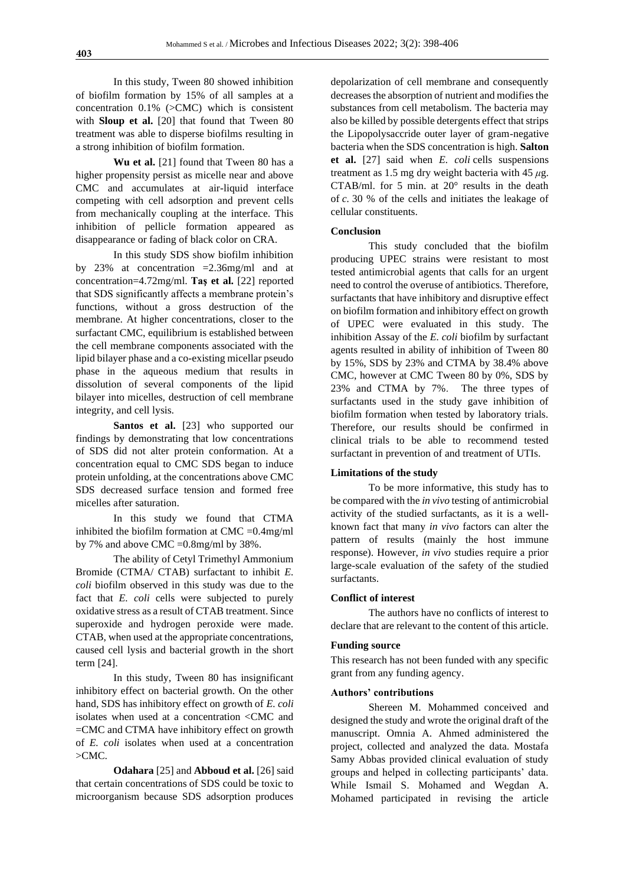In this study, Tween 80 showed inhibition of biofilm formation by 15% of all samples at a concentration 0.1% (>CMC) which is consistent with **Sloup et al.** [20] that found that Tween 80 treatment was able to disperse biofilms resulting in a strong inhibition of biofilm formation.

**Wu et al.** [21] found that Tween 80 has a higher propensity persist as micelle near and above CMC and accumulates at air-liquid interface competing with cell adsorption and prevent cells from mechanically coupling at the interface. This inhibition of pellicle formation appeared as disappearance or fading of black color on CRA.

In this study SDS show biofilm inhibition by 23% at concentration =2.36mg/ml and at concentration=4.72mg/ml. **Taş et al.** [22] reported that SDS significantly affects a membrane protein's functions, without a gross destruction of the membrane. At higher concentrations, closer to the surfactant CMC, equilibrium is established between the cell membrane components associated with the lipid bilayer phase and a co-existing micellar pseudo phase in the aqueous medium that results in dissolution of several components of the lipid bilayer into micelles, destruction of cell membrane integrity, and cell lysis.

**Santos et al.** [23] who supported our findings by demonstrating that low concentrations of SDS did not alter protein conformation. At a concentration equal to CMC SDS began to induce protein unfolding, at the concentrations above CMC SDS decreased surface tension and formed free micelles after saturation.

In this study we found that CTMA inhibited the biofilm formation at  $CMC = 0.4$ mg/ml by 7% and above CMC =0.8mg/ml by 38%.

The ability of Cetyl Trimethyl Ammonium Bromide (CTMA/ CTAB) surfactant to inhibit *E. coli* biofilm observed in this study was due to the fact that *E. coli* cells were subjected to purely oxidative stress as a result of CTAB treatment. Since superoxide and hydrogen peroxide were made. CTAB, when used at the appropriate concentrations, caused cell lysis and bacterial growth in the short term [24].

In this study, Tween 80 has insignificant inhibitory effect on bacterial growth. On the other hand, SDS has inhibitory effect on growth of *E. coli*  isolates when used at a concentration <CMC and =CMC and CTMA have inhibitory effect on growth of *E. coli* isolates when used at a concentration  $>CMC$ .

**Odahara** [25] and **Abboud et al.** [26] said that certain concentrations of SDS could be toxic to microorganism because SDS adsorption produces depolarization of cell membrane and consequently decreases the absorption of nutrient and modifies the substances from cell metabolism. The bacteria may also be killed by possible detergents effect that strips the Lipopolysaccride outer layer of gram-negative bacteria when the SDS concentration is high. **Salton et al.** [27] said when *E. coli* cells suspensions treatment as 1.5 mg dry weight bacteria with 45 *μ*g. CTAB/ml. for 5 min. at  $20^{\circ}$  results in the death of *c.* 30 % of the cells and initiates the leakage of cellular constituents.

#### **Conclusion**

This study concluded that the biofilm producing UPEC strains were resistant to most tested antimicrobial agents that calls for an urgent need to control the overuse of antibiotics. Therefore, surfactants that have inhibitory and disruptive effect on biofilm formation and inhibitory effect on growth of UPEC were evaluated in this study. The inhibition Assay of the *E. coli* biofilm by surfactant agents resulted in ability of inhibition of Tween 80 by 15%, SDS by 23% and CTMA by 38.4% above CMC, however at CMC Tween 80 by 0%, SDS by 23% and CTMA by 7%. The three types of surfactants used in the study gave inhibition of biofilm formation when tested by laboratory trials. Therefore, our results should be confirmed in clinical trials to be able to recommend tested surfactant in prevention of and treatment of UTIs.

#### **Limitations of the study**

To be more informative, this study has to be compared with the *in vivo* testing of antimicrobial activity of the studied surfactants, as it is a wellknown fact that many *in vivo* factors can alter the pattern of results (mainly the host immune response). However, *in vivo* studies require a prior large-scale evaluation of the safety of the studied surfactants.

#### **Conflict of interest**

The authors have no conflicts of interest to declare that are relevant to the content of this article.

#### **Funding source**

This research has not been funded with any specific grant from any funding agency.

#### **Authors' contributions**

Shereen M. Mohammed conceived and designed the study and wrote the original draft of the manuscript. Omnia A. Ahmed administered the project, collected and analyzed the data. Mostafa Samy Abbas provided clinical evaluation of study groups and helped in collecting participants' data. While Ismail S. Mohamed and Wegdan A. Mohamed participated in revising the article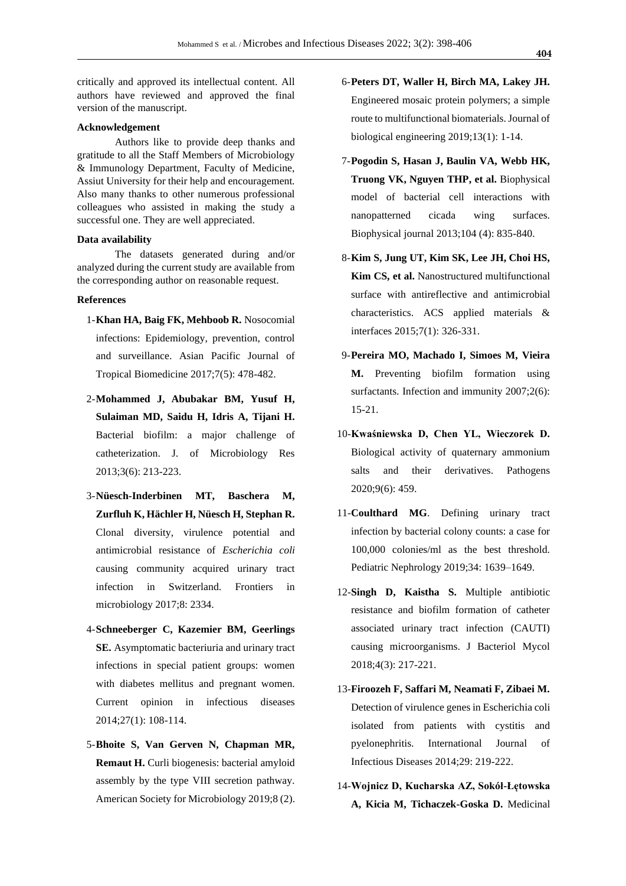critically and approved its intellectual content. All authors have reviewed and approved the final version of the manuscript.

#### **Acknowledgement**

Authors like to provide deep thanks and gratitude to all the Staff Members of Microbiology & Immunology Department, Faculty of Medicine, Assiut University for their help and encouragement. Also many thanks to other numerous professional colleagues who assisted in making the study a successful one. They are well appreciated.

#### **Data availability**

The datasets generated during and/or analyzed during the current study are available from the corresponding author on reasonable request.

#### **References**

- 1-**Khan HA, Baig FK, Mehboob R.** Nosocomial infections: Epidemiology, prevention, control and surveillance. Asian Pacific Journal of Tropical Biomedicine 2017;7(5): 478-482.
- 2-**Mohammed J, Abubakar BM, Yusuf H, Sulaiman MD, Saidu H, Idris A, Tijani H.** Bacterial biofilm: a major challenge of catheterization. J. of Microbiology Res 2013;3(6): 213-223.
- 3-**Nüesch-Inderbinen MT, Baschera M, Zurfluh K, Hächler H, Nüesch H, Stephan R.** Clonal diversity, virulence potential and antimicrobial resistance of *Escherichia coli* causing community acquired urinary tract infection in Switzerland. Frontiers in microbiology 2017;8: 2334.
- 4-**Schneeberger C, Kazemier BM, Geerlings SE.** Asymptomatic bacteriuria and urinary tract infections in special patient groups: women with diabetes mellitus and pregnant women. Current opinion in infectious diseases 2014;27(1): 108-114.
- 5-**Bhoite S, Van Gerven N, Chapman MR, Remaut H.** Curli biogenesis: bacterial amyloid assembly by the type VIII secretion pathway. American Society for Microbiology 2019;8 (2).
- 6-**Peters DT, Waller H, Birch MA, Lakey JH.** Engineered mosaic protein polymers; a simple route to multifunctional biomaterials. Journal of biological engineering 2019;13(1): 1-14.
- 7-**Pogodin S, Hasan J, Baulin VA, Webb HK, Truong VK, Nguyen THP, et al.** Biophysical model of bacterial cell interactions with nanopatterned cicada wing surfaces. Biophysical journal 2013;104 (4): 835-840.
- 8-**Kim S, Jung UT, Kim SK, Lee JH, Choi HS, Kim CS, et al.** Nanostructured multifunctional surface with antireflective and antimicrobial characteristics. ACS applied materials & interfaces 2015;7(1): 326-331.
- 9-**Pereira MO, Machado I, Simoes M, Vieira M.** Preventing biofilm formation using surfactants. Infection and immunity 2007;2(6): 15-21.
- 10-**Kwaśniewska D, Chen YL, Wieczorek D.** Biological activity of quaternary ammonium salts and their derivatives. Pathogens 2020;9(6): 459.
- 11-**Coulthard MG**. Defining urinary tract infection by bacterial colony counts: a case for 100,000 colonies/ml as the best threshold. Pediatric Nephrology 2019;34: 1639–1649.
- 12-**Singh D, Kaistha S.** Multiple antibiotic resistance and biofilm formation of catheter associated urinary tract infection (CAUTI) causing microorganisms. J Bacteriol Mycol 2018;4(3): 217-221.
- 13-**Firoozeh F, Saffari M, Neamati F, Zibaei M.** Detection of virulence genes in Escherichia coli isolated from patients with cystitis and pyelonephritis. International Journal of Infectious Diseases 2014;29: 219-222.
- 14-**Wojnicz D, Kucharska AZ, Sokół-Łętowska A, Kicia M, Tichaczek-Goska D.** Medicinal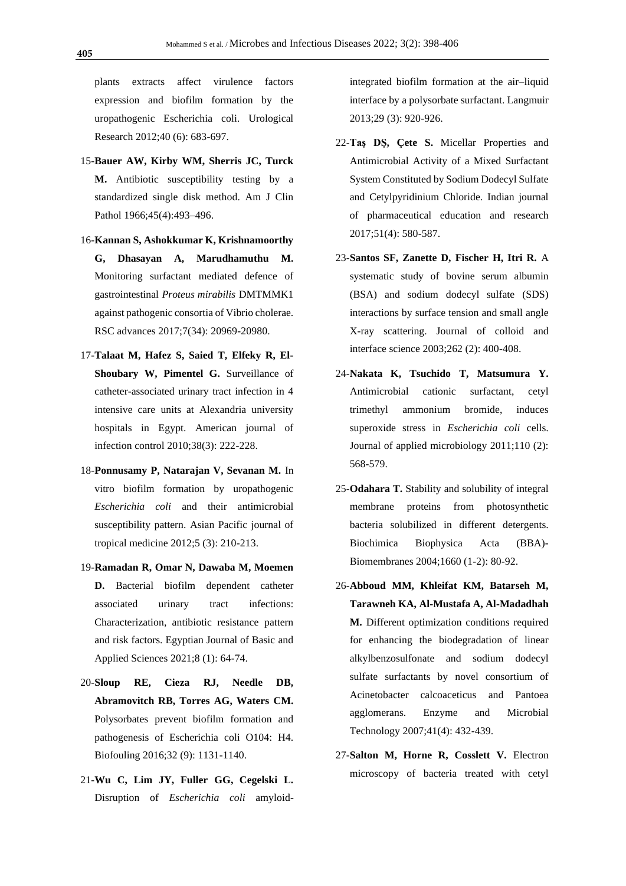plants extracts affect virulence factors expression and biofilm formation by the uropathogenic Escherichia coli. Urological Research 2012;40 (6): 683-697.

- 15-**Bauer AW, Kirby WM, Sherris JC, Turck M.** Antibiotic susceptibility testing by a standardized single disk method. Am J Clin Pathol 1966;45(4):493-496.
- 16-**Kannan S, Ashokkumar K, Krishnamoorthy G, Dhasayan A, Marudhamuthu M.** Monitoring surfactant mediated defence of gastrointestinal *Proteus mirabilis* DMTMMK1 against pathogenic consortia of Vibrio cholerae. RSC advances 2017;7(34): 20969-20980.
- 17-**Talaat M, Hafez S, Saied T, Elfeky R, El-Shoubary W, Pimentel G.** Surveillance of catheter-associated urinary tract infection in 4 intensive care units at Alexandria university hospitals in Egypt. American journal of infection control 2010;38(3): 222-228.
- 18-**Ponnusamy P, Natarajan V, Sevanan M.** In vitro biofilm formation by uropathogenic *Escherichia coli* and their antimicrobial susceptibility pattern. Asian Pacific journal of tropical medicine 2012;5 (3): 210-213.
- 19-**Ramadan R, Omar N, Dawaba M, Moemen D.** Bacterial biofilm dependent catheter associated urinary tract infections: Characterization, antibiotic resistance pattern and risk factors. Egyptian Journal of Basic and Applied Sciences 2021;8 (1): 64-74.
- 20-**Sloup RE, Cieza RJ, Needle DB, Abramovitch RB, Torres AG, Waters CM.** Polysorbates prevent biofilm formation and pathogenesis of Escherichia coli O104: H4. Biofouling 2016;32 (9): 1131-1140.
- 21-**Wu C, Lim JY, Fuller GG, Cegelski L.** Disruption of *Escherichia coli* amyloid-

integrated biofilm formation at the air–liquid interface by a polysorbate surfactant. Langmuir 2013;29 (3): 920-926.

- 22-**Taş DŞ, Çete S.** Micellar Properties and Antimicrobial Activity of a Mixed Surfactant System Constituted by Sodium Dodecyl Sulfate and Cetylpyridinium Chloride. Indian journal of pharmaceutical education and research 2017;51(4): 580-587.
- 23-**Santos SF, Zanette D, Fischer H, Itri R.** A systematic study of bovine serum albumin (BSA) and sodium dodecyl sulfate (SDS) interactions by surface tension and small angle X-ray scattering. Journal of colloid and interface science 2003;262 (2): 400-408.
- 24-**Nakata K, Tsuchido T, Matsumura Y.** Antimicrobial cationic surfactant, cetyl trimethyl ammonium bromide, induces superoxide stress in *Escherichia coli* cells. Journal of applied microbiology 2011;110 (2): 568-579.
- 25-**Odahara T.** Stability and solubility of integral membrane proteins from photosynthetic bacteria solubilized in different detergents. Biochimica Biophysica Acta (BBA)- Biomembranes 2004;1660 (1-2): 80-92.
- 26-**Abboud MM, Khleifat KM, Batarseh M, Tarawneh KA, Al-Mustafa A, Al-Madadhah M.** Different optimization conditions required for enhancing the biodegradation of linear alkylbenzosulfonate and sodium dodecyl sulfate surfactants by novel consortium of Acinetobacter calcoaceticus and Pantoea agglomerans. Enzyme and Microbial Technology 2007;41(4): 432-439.
- 27-**Salton M, Horne R, Cosslett V.** Electron microscopy of bacteria treated with cetyl